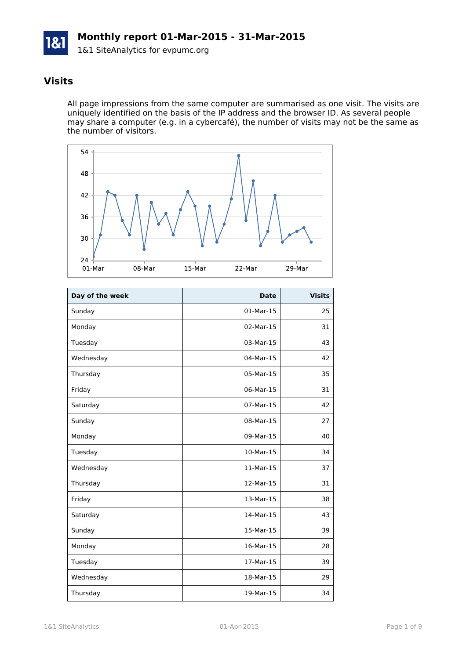

#### **Visits**

All page impressions from the same computer are summarised as one visit. The visits are uniquely identified on the basis of the IP address and the browser ID. As several people may share a computer (e.g. in a cybercafé), the number of visits may not be the same as the number of visitors.



| Day of the week | <b>Date</b> | <b>Visits</b> |
|-----------------|-------------|---------------|
| Sunday          | 01-Mar-15   | 25            |
| Monday          | 02-Mar-15   | 31            |
| Tuesday         | 03-Mar-15   | 43            |
| Wednesday       | 04-Mar-15   | 42            |
| Thursday        | 05-Mar-15   | 35            |
| Friday          | 06-Mar-15   | 31            |
| Saturday        | 07-Mar-15   | 42            |
| Sunday          | 08-Mar-15   | 27            |
| Monday          | 09-Mar-15   | 40            |
| Tuesday         | 10-Mar-15   | 34            |
| Wednesday       | 11-Mar-15   | 37            |
| Thursday        | 12-Mar-15   | 31            |
| Friday          | 13-Mar-15   | 38            |
| Saturday        | 14-Mar-15   | 43            |
| Sunday          | 15-Mar-15   | 39            |
| Monday          | 16-Mar-15   | 28            |
| Tuesday         | 17-Mar-15   | 39            |
| Wednesday       | 18-Mar-15   | 29            |
| Thursday        | 19-Mar-15   | 34            |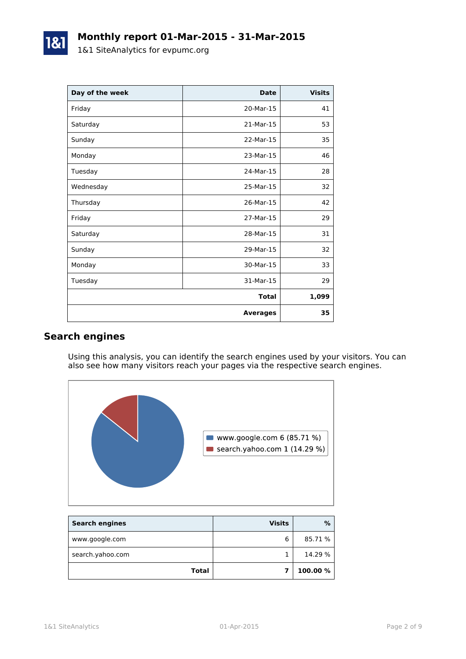| Day of the week | <b>Date</b>     | <b>Visits</b> |
|-----------------|-----------------|---------------|
| Friday          | 20-Mar-15       | 41            |
| Saturday        | 21-Mar-15       | 53            |
| Sunday          | 22-Mar-15       | 35            |
| Monday          | 23-Mar-15       | 46            |
| Tuesday         | 24-Mar-15       | 28            |
| Wednesday       | 25-Mar-15       | 32            |
| Thursday        | 26-Mar-15       | 42            |
| Friday          | 27-Mar-15       | 29            |
| Saturday        | 28-Mar-15       | 31            |
| Sunday          | 29-Mar-15       | 32            |
| Monday          | 30-Mar-15       | 33            |
| Tuesday         | 31-Mar-15       | 29            |
|                 | <b>Total</b>    | 1,099         |
|                 | <b>Averages</b> | 35            |

### **Search engines**

Using this analysis, you can identify the search engines used by your visitors. You can also see how many visitors reach your pages via the respective search engines.



| <b>Search engines</b> | <b>Visits</b> | %        |
|-----------------------|---------------|----------|
| www.google.com        | 6             | 85.71 %  |
| search.yahoo.com      |               | 14.29 %  |
| <b>Total</b>          |               | 100.00 % |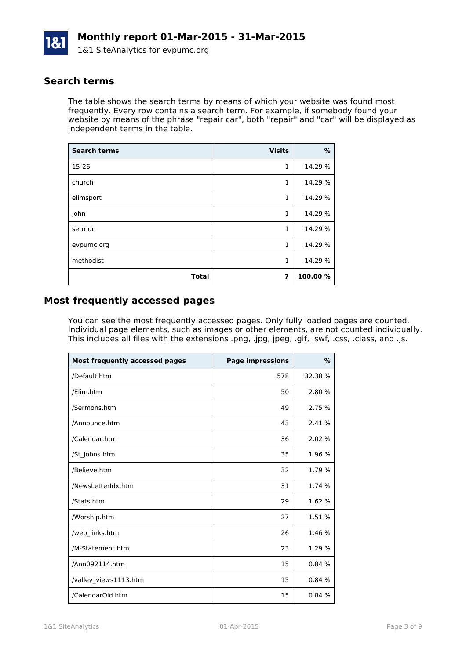

#### **Search terms**

The table shows the search terms by means of which your website was found most frequently. Every row contains a search term. For example, if somebody found your website by means of the phrase "repair car", both "repair" and "car" will be displayed as independent terms in the table.

| <b>Search terms</b> | <b>Visits</b> | %        |
|---------------------|---------------|----------|
| 15-26               | 1             | 14.29 %  |
| church              | 1             | 14.29 %  |
| elimsport           | 1             | 14.29 %  |
| john                | $\mathbf{1}$  | 14.29 %  |
| sermon              | 1             | 14.29 %  |
| evpumc.org          | 1             | 14.29 %  |
| methodist           | 1             | 14.29 %  |
| <b>Total</b>        | 7             | 100.00 % |

#### **Most frequently accessed pages**

You can see the most frequently accessed pages. Only fully loaded pages are counted. Individual page elements, such as images or other elements, are not counted individually. This includes all files with the extensions .png, .jpg, jpeg, .gif, .swf, .css, .class, and .js.

| Most frequently accessed pages | <b>Page impressions</b> | $\%$    |
|--------------------------------|-------------------------|---------|
| /Default.htm                   | 578                     | 32.38 % |
| /Elim.htm                      | 50                      | 2.80 %  |
| /Sermons.htm                   | 49                      | 2.75 %  |
| /Announce.htm                  | 43                      | 2.41 %  |
| /Calendar.htm                  | 36                      | 2.02 %  |
| /St_Johns.htm                  | 35                      | 1.96 %  |
| /Believe.htm                   | 32                      | 1.79 %  |
| /NewsLetterIdx.htm             | 31                      | 1.74 %  |
| /Stats.htm                     | 29                      | 1.62 %  |
| /Worship.htm                   | 27                      | 1.51 %  |
| /web links.htm                 | 26                      | 1.46 %  |
| /M-Statement.htm               | 23                      | 1.29 %  |
| /Ann092114.htm                 | 15                      | 0.84%   |
| /valley views1113.htm          | 15                      | 0.84%   |
| /CalendarOld.htm               | 15                      | 0.84%   |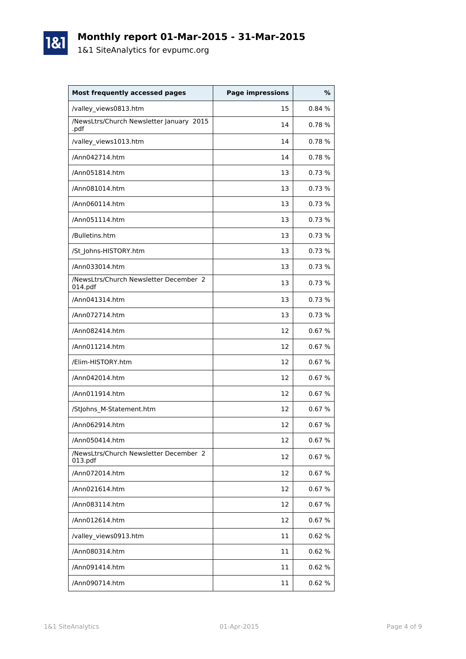# **Monthly report 01-Mar-2015 - 31-Mar-2015**

1&1 SiteAnalytics for evpumc.org

1&1

| <b>Most frequently accessed pages</b>             | <b>Page impressions</b> | %      |
|---------------------------------------------------|-------------------------|--------|
| /valley_views0813.htm                             | 15                      | 0.84 % |
| /NewsLtrs/Church Newsletter January 2015<br>.pdf  | 14                      | 0.78%  |
| /valley_views1013.htm                             | 14                      | 0.78%  |
| /Ann042714.htm                                    | 14                      | 0.78%  |
| /Ann051814.htm                                    | 13                      | 0.73%  |
| /Ann081014.htm                                    | 13                      | 0.73%  |
| /Ann060114.htm                                    | 13                      | 0.73%  |
| /Ann051114.htm                                    | 13                      | 0.73%  |
| /Bulletins.htm                                    | 13                      | 0.73%  |
| /St Johns-HISTORY.htm                             | 13                      | 0.73%  |
| /Ann033014.htm                                    | 13                      | 0.73%  |
| /NewsLtrs/Church Newsletter December 2<br>014.pdf | 13                      | 0.73%  |
| /Ann041314.htm                                    | 13                      | 0.73%  |
| /Ann072714.htm                                    | 13                      | 0.73%  |
| /Ann082414.htm                                    | 12                      | 0.67%  |
| /Ann011214.htm                                    | 12                      | 0.67%  |
| /Elim-HISTORY.htm                                 | 12                      | 0.67%  |
| /Ann042014.htm                                    | 12                      | 0.67%  |
| /Ann011914.htm                                    | 12                      | 0.67%  |
| /StJohns_M-Statement.htm                          | 12                      | 0.67%  |
| /Ann062914.htm                                    | 12                      | 0.67%  |
| /Ann050414.htm                                    | 12                      | 0.67%  |
| /NewsLtrs/Church Newsletter December 2<br>013.pdf | 12                      | 0.67%  |
| /Ann072014.htm                                    | 12                      | 0.67%  |
| /Ann021614.htm                                    | 12                      | 0.67%  |
| /Ann083114.htm                                    | 12                      | 0.67%  |
| /Ann012614.htm                                    | 12                      | 0.67%  |
| /valley_views0913.htm                             | 11                      | 0.62%  |
| /Ann080314.htm                                    | 11                      | 0.62%  |
| /Ann091414.htm                                    | 11                      | 0.62%  |
| /Ann090714.htm                                    | 11                      | 0.62%  |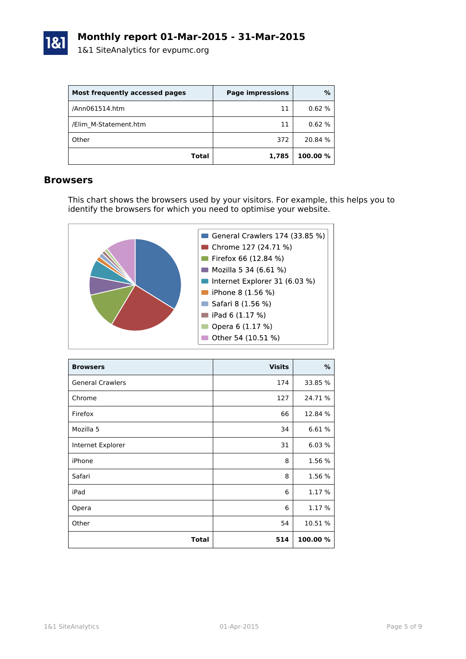

| Most frequently accessed pages | <b>Page impressions</b> | %        |
|--------------------------------|-------------------------|----------|
| /Ann061514.htm                 | 11                      | 0.62%    |
| /Elim M-Statement.htm          | 11                      | 0.62%    |
| Other                          | 372                     | 20.84 %  |
| Total                          | 1,785                   | 100.00 % |

#### **Browsers**

This chart shows the browsers used by your visitors. For example, this helps you to identify the browsers for which you need to optimise your website.



| <b>Browsers</b>         | <b>Visits</b> | %        |
|-------------------------|---------------|----------|
| <b>General Crawlers</b> | 174           | 33.85 %  |
| Chrome                  | 127           | 24.71 %  |
| Firefox                 | 66            | 12.84 %  |
| Mozilla 5               | 34            | 6.61%    |
| Internet Explorer       | 31            | 6.03%    |
| iPhone                  | 8             | 1.56 %   |
| Safari                  | 8             | 1.56 %   |
| iPad                    | 6             | 1.17 %   |
| Opera                   | 6             | 1.17 %   |
| Other                   | 54            | 10.51 %  |
| <b>Total</b>            | 514           | 100.00 % |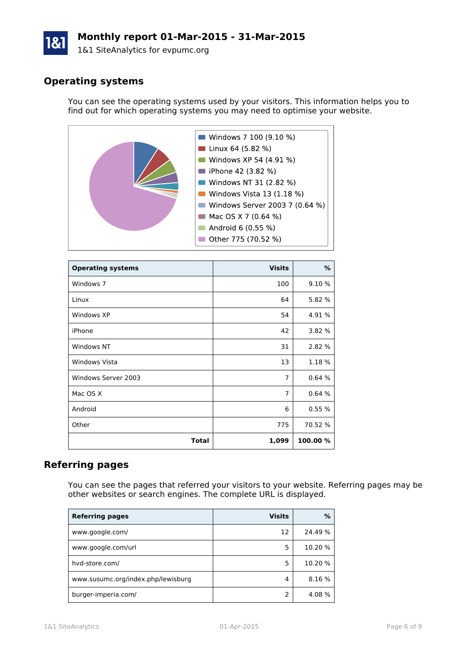# **Monthly report 01-Mar-2015 - 31-Mar-2015**

1&1 SiteAnalytics for evpumc.org

## **Operating systems**

You can see the operating systems used by your visitors. This information helps you to find out for which operating systems you may need to optimise your website.



| <b>Operating systems</b> | <b>Visits</b>  | %        |
|--------------------------|----------------|----------|
| Windows 7                | 100            | 9.10 %   |
| Linux                    | 64             | 5.82 %   |
| Windows XP               | 54             | 4.91 %   |
| iPhone                   | 42             | 3.82 %   |
| <b>Windows NT</b>        | 31             | 2.82 %   |
| <b>Windows Vista</b>     | 13             | 1.18%    |
| Windows Server 2003      | $\overline{7}$ | 0.64%    |
| Mac OS X                 | $\overline{7}$ | 0.64%    |
| Android                  | 6              | 0.55%    |
| Other                    | 775            | 70.52 %  |
| <b>Total</b>             | 1,099          | 100.00 % |

#### **Referring pages**

You can see the pages that referred your visitors to your website. Referring pages may be other websites or search engines. The complete URL is displayed.

| <b>Referring pages</b>             | <b>Visits</b> | %       |
|------------------------------------|---------------|---------|
| www.google.com/                    | 12            | 24.49 % |
| www.google.com/url                 | 5             | 10.20 % |
| hvd-store.com/                     | 5             | 10.20 % |
| www.susumc.org/index.php/lewisburg | 4             | 8.16 %  |
| burger-imperia.com/                |               | 4.08%   |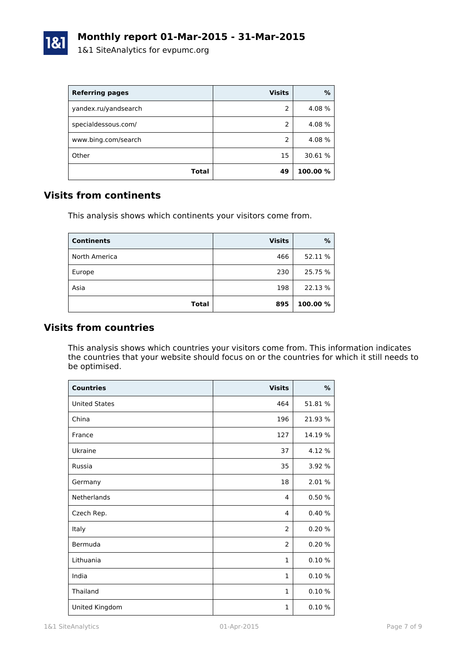

| <b>Referring pages</b> | <b>Visits</b> | $\%$     |
|------------------------|---------------|----------|
| yandex.ru/yandsearch   | 2             | 4.08 %   |
| specialdessous.com/    | 2             | 4.08 %   |
| www.bing.com/search    | 2             | 4.08 %   |
| Other                  | 15            | 30.61 %  |
| Total                  | 49            | 100.00 % |

#### **Visits from continents**

This analysis shows which continents your visitors come from.

| <b>Continents</b> | <b>Visits</b> | %        |
|-------------------|---------------|----------|
| North America     | 466           | 52.11 %  |
| Europe            | 230           | 25.75 %  |
| Asia              | 198           | 22.13 %  |
| <b>Total</b>      | 895           | 100.00 % |

### **Visits from countries**

This analysis shows which countries your visitors come from. This information indicates the countries that your website should focus on or the countries for which it still needs to be optimised.

| <b>Countries</b>     | <b>Visits</b>  | $\%$    |
|----------------------|----------------|---------|
| <b>United States</b> | 464            | 51.81 % |
| China                | 196            | 21.93 % |
| France               | 127            | 14.19 % |
| Ukraine              | 37             | 4.12 %  |
| Russia               | 35             | 3.92 %  |
| Germany              | 18             | 2.01%   |
| Netherlands          | 4              | 0.50%   |
| Czech Rep.           | 4              | 0.40%   |
| Italy                | $\overline{2}$ | 0.20%   |
| Bermuda              | 2              | 0.20%   |
| Lithuania            | $\mathbf{1}$   | 0.10%   |
| India                | $\mathbf{1}$   | 0.10%   |
| Thailand             | $\mathbf{1}$   | 0.10%   |
| United Kingdom       | $\mathbf{1}$   | 0.10%   |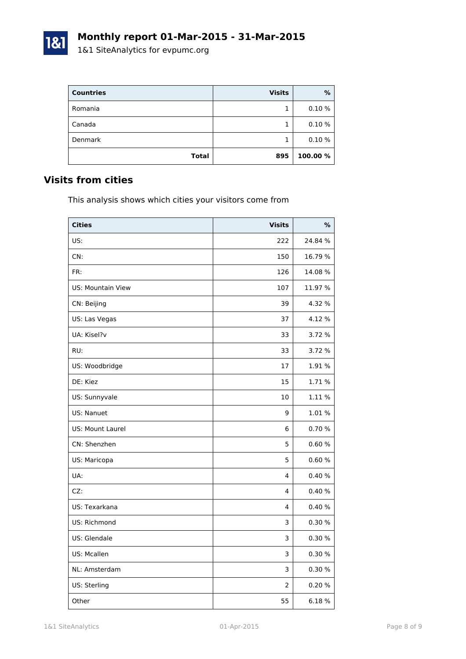| <b>Countries</b> | <b>Visits</b> | %        |
|------------------|---------------|----------|
| Romania          |               | 0.10%    |
| Canada           |               | 0.10%    |
| Denmark          |               | 0.10%    |
| <b>Total</b>     | 895           | 100.00 % |

#### **Visits from cities**

1&1

This analysis shows which cities your visitors come from

| <b>Cities</b>            | <b>Visits</b>  | %       |
|--------------------------|----------------|---------|
| US:                      | 222            | 24.84 % |
| CN:                      | 150            | 16.79 % |
| FR:                      | 126            | 14.08%  |
| <b>US: Mountain View</b> | 107            | 11.97 % |
| CN: Beijing              | 39             | 4.32 %  |
| US: Las Vegas            | 37             | 4.12%   |
| UA: Kisel?v              | 33             | 3.72 %  |
| RU:                      | 33             | 3.72 %  |
| US: Woodbridge           | 17             | 1.91%   |
| DE: Kiez                 | 15             | 1.71%   |
| US: Sunnyvale            | 10             | 1.11 %  |
| US: Nanuet               | 9              | 1.01 %  |
| <b>US: Mount Laurel</b>  | 6              | 0.70%   |
| CN: Shenzhen             | 5              | 0.60%   |
| US: Maricopa             | 5              | 0.60%   |
| UA:                      | 4              | 0.40%   |
| CZ:                      | 4              | 0.40%   |
| US: Texarkana            | 4              | 0.40%   |
| US: Richmond             | 3              | 0.30%   |
| US: Glendale             | 3              | 0.30%   |
| US: Mcallen              | 3              | 0.30%   |
| NL: Amsterdam            | 3              | 0.30%   |
| US: Sterling             | $\overline{2}$ | 0.20%   |
| Other                    | 55             | 6.18%   |